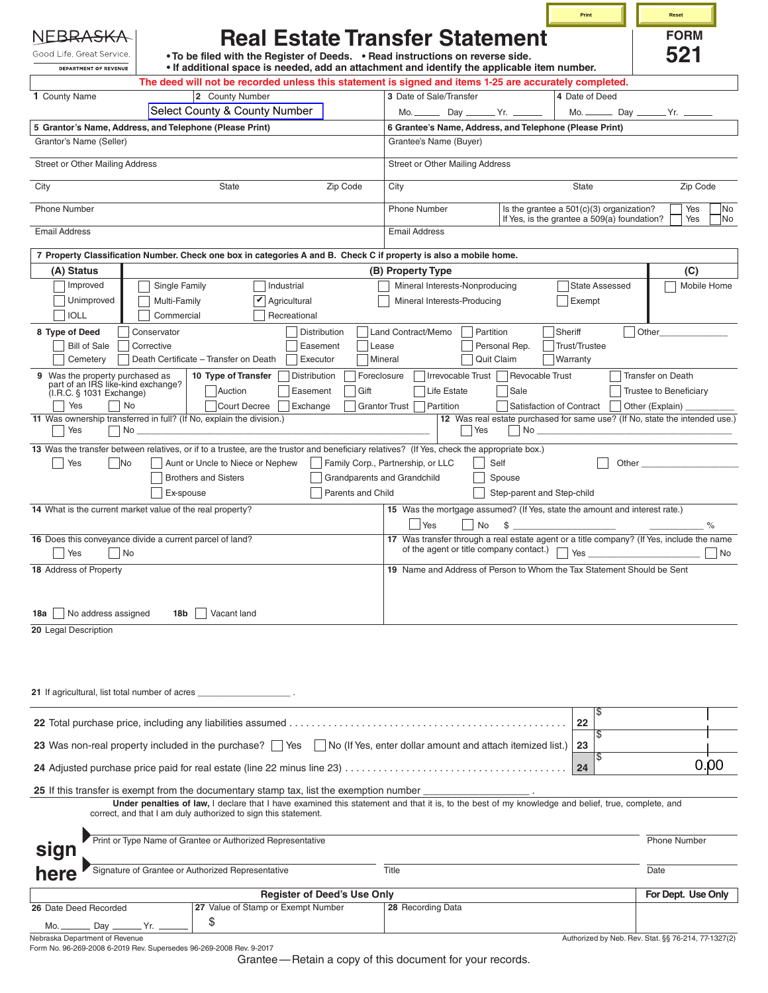|                                                                                                                                                                                                                                              |                      |                                                                                                                                                 | Print                    | Reset                                               |
|----------------------------------------------------------------------------------------------------------------------------------------------------------------------------------------------------------------------------------------------|----------------------|-------------------------------------------------------------------------------------------------------------------------------------------------|--------------------------|-----------------------------------------------------|
| Good Life. Great Service.<br>. To be filed with the Register of Deeds. . Read instructions on reverse side.                                                                                                                                  |                      | <b>Real Estate Transfer Statement</b>                                                                                                           |                          | <b>FORM</b><br>521                                  |
| • If additional space is needed, add an attachment and identify the applicable item number.<br><b>DEPARTMENT OF REVENUE</b><br>The deed will not be recorded unless this statement is signed and items 1-25 are accurately completed.        |                      |                                                                                                                                                 |                          |                                                     |
| 1 County Name<br>2 County Number                                                                                                                                                                                                             |                      | 3 Date of Sale/Transfer                                                                                                                         | 4 Date of Deed           |                                                     |
| Select County & County Number                                                                                                                                                                                                                |                      |                                                                                                                                                 |                          | Mo. __________ Day _________ Yr. _____              |
| 5 Grantor's Name, Address, and Telephone (Please Print)                                                                                                                                                                                      |                      | 6 Grantee's Name, Address, and Telephone (Please Print)                                                                                         |                          |                                                     |
| Grantor's Name (Seller)                                                                                                                                                                                                                      |                      | Grantee's Name (Buyer)                                                                                                                          |                          |                                                     |
| Street or Other Mailing Address                                                                                                                                                                                                              |                      | <b>Street or Other Mailing Address</b>                                                                                                          |                          |                                                     |
| City<br><b>State</b><br>Zip Code                                                                                                                                                                                                             |                      | City                                                                                                                                            | <b>State</b>             | Zip Code                                            |
| <b>Phone Number</b>                                                                                                                                                                                                                          |                      | Is the grantee a $501(c)(3)$ organization?<br><b>Phone Number</b><br>If Yes, is the grantee a 509(a) foundation?                                |                          | Yes<br>No<br>Yes<br> No                             |
| <b>Email Address</b>                                                                                                                                                                                                                         |                      | <b>Email Address</b>                                                                                                                            |                          |                                                     |
| 7 Property Classification Number. Check one box in categories A and B. Check C if property is also a mobile home.                                                                                                                            |                      |                                                                                                                                                 |                          |                                                     |
| (A) Status                                                                                                                                                                                                                                   |                      | (B) Property Type                                                                                                                               |                          | (C)                                                 |
| Improved<br>Single Family<br>Industrial<br>Unimproved<br>Multi-Family<br>$ v $ Agricultural                                                                                                                                                  |                      | Mineral Interests-Nonproducing<br>Mineral Interests-Producing                                                                                   | State Assessed<br>Exempt | Mobile Home                                         |
| <b>IOLL</b><br>Commercial<br>Recreational                                                                                                                                                                                                    |                      |                                                                                                                                                 |                          |                                                     |
| Distribution<br>8 Type of Deed<br>Conservator                                                                                                                                                                                                |                      | Sheriff<br>Land Contract/Memo<br>Partition                                                                                                      |                          | Other                                               |
| <b>Bill of Sale</b><br>Corrective<br>Easement                                                                                                                                                                                                | Lease                | Personal Rep.                                                                                                                                   | <b>Trust/Trustee</b>     |                                                     |
| Death Certificate - Transfer on Death<br>Cemetery<br>Executor                                                                                                                                                                                | Mineral              | Quit Claim                                                                                                                                      | <b>Warranty</b>          |                                                     |
| 9 Was the property purchased as<br>part of an IRS like-kind exchange?<br>10 Type of Transfer<br>Distribution<br>Auction<br>Easement                                                                                                          | Foreclosure<br>Gift  | Irrevocable Trust   Revocable Trust<br>Sale<br>Life Estate                                                                                      |                          | <b>Transfer on Death</b><br>Trustee to Beneficiary  |
| (I.R.C. § 1031 Exchange)<br>Yes<br>No<br>Court Decree<br>Exchange                                                                                                                                                                            | <b>Grantor Trust</b> | Partition<br>Satisfaction of Contract                                                                                                           |                          | Other (Explain)                                     |
| 11 Was ownership transferred in full? (If No, explain the division.)<br>Yes<br>No.                                                                                                                                                           |                      | 12 Was real estate purchased for same use? (If No, state the intended use.)<br>Yes<br>$No_$                                                     |                          |                                                     |
| 13 Was the transfer between relatives, or if to a trustee, are the trustor and beneficiary relatives? (If Yes, check the appropriate box.)                                                                                                   |                      |                                                                                                                                                 |                          |                                                     |
| - No<br>Aunt or Uncle to Niece or Nephew<br>Yes                                                                                                                                                                                              |                      | Family Corp., Partnership, or LLC<br>Self                                                                                                       | Other                    |                                                     |
| <b>Brothers and Sisters</b>                                                                                                                                                                                                                  |                      | Grandparents and Grandchild<br>Spouse                                                                                                           |                          |                                                     |
| Ex-spouse                                                                                                                                                                                                                                    | Parents and Child    | Step-parent and Step-child                                                                                                                      |                          |                                                     |
| 14 What is the current market value of the real property?                                                                                                                                                                                    |                      | 15 Was the mortgage assumed? (If Yes, state the amount and interest rate.)<br>$\frac{1}{2}$<br>No<br><b>Yes</b>                                 |                          |                                                     |
| 16 Does this conveyance divide a current parcel of land?<br>Yes<br>No                                                                                                                                                                        |                      | 17 Was transfer through a real estate agent or a title company? (If Yes, include the name<br>of the agent or title company contact.) $\Box$ Yes |                          | $ $ No                                              |
| 18 Address of Property                                                                                                                                                                                                                       |                      | 19 Name and Address of Person to Whom the Tax Statement Should be Sent                                                                          |                          |                                                     |
|                                                                                                                                                                                                                                              |                      |                                                                                                                                                 |                          |                                                     |
|                                                                                                                                                                                                                                              |                      |                                                                                                                                                 |                          |                                                     |
| No address assigned<br>18b<br>Vacant land<br>18a<br>20 Legal Description                                                                                                                                                                     |                      |                                                                                                                                                 |                          |                                                     |
|                                                                                                                                                                                                                                              |                      |                                                                                                                                                 |                          |                                                     |
|                                                                                                                                                                                                                                              |                      |                                                                                                                                                 |                          |                                                     |
|                                                                                                                                                                                                                                              |                      |                                                                                                                                                 |                          |                                                     |
| 21 If agricultural, list total number of acres                                                                                                                                                                                               |                      |                                                                                                                                                 |                          |                                                     |
|                                                                                                                                                                                                                                              |                      |                                                                                                                                                 | \$<br>22                 |                                                     |
| 23 Was non-real property included in the purchase? Ves No (If Yes, enter dollar amount and attach itemized list.)                                                                                                                            |                      |                                                                                                                                                 | \$<br>23                 |                                                     |
|                                                                                                                                                                                                                                              |                      |                                                                                                                                                 | \$<br>24                 | 0.00                                                |
|                                                                                                                                                                                                                                              |                      |                                                                                                                                                 |                          |                                                     |
| 25 If this transfer is exempt from the documentary stamp tax, list the exemption number<br>Under penalties of law, I declare that I have examined this statement and that it is, to the best of my knowledge and belief, true, complete, and |                      |                                                                                                                                                 |                          |                                                     |
| correct, and that I am duly authorized to sign this statement.                                                                                                                                                                               |                      |                                                                                                                                                 |                          |                                                     |
| Print or Type Name of Grantee or Authorized Representative<br>sign                                                                                                                                                                           |                      |                                                                                                                                                 |                          | <b>Phone Number</b>                                 |
| Signature of Grantee or Authorized Representative<br>here                                                                                                                                                                                    |                      | Title                                                                                                                                           |                          | Date                                                |
| <b>Register of Deed's Use Only</b>                                                                                                                                                                                                           |                      |                                                                                                                                                 |                          | For Dept. Use Only                                  |
| 27 Value of Stamp or Exempt Number<br>26 Date Deed Recorded                                                                                                                                                                                  |                      | 28 Recording Data                                                                                                                               |                          |                                                     |
| \$<br>Mo. __________ Day _________ Yr. _                                                                                                                                                                                                     |                      |                                                                                                                                                 |                          |                                                     |
| Nebraska Department of Revenue<br>Form No. 96-269-2008 6-2019 Rev. Supersedes 96-269-2008 Rev. 9-2017                                                                                                                                        |                      |                                                                                                                                                 |                          | Authorized by Neb. Rev. Stat. §§ 76-214, 77-1327(2) |
|                                                                                                                                                                                                                                              |                      | Grantee - Retain a copy of this document for your records.                                                                                      |                          |                                                     |